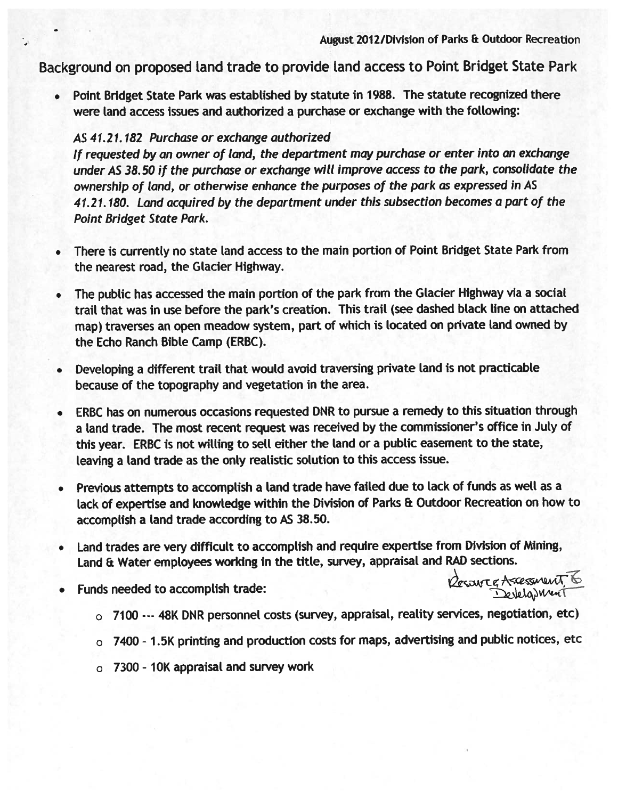Background on propose<sup>d</sup> Land trade to provide Land access to Point Bridget State Park

•Point Bridget State Park was established by statute in 1988. The statute recognized there were land access issues and authorized a purchase or exchange with the following:

## AS 41.21. 182 Purchase or exchange authorized

If requested by an owner of land, the department may purchase or enter into an exchange under AS 38.50 if the purchase or exchange will improve access to the park, consolidate the ownership of (and, or otherwise enhance the purposes of the par<sup>k</sup> as expresse<sup>d</sup> in AS 41.21.180. Land acquired by the department under this subsection becomes <sup>a</sup> par<sup>t</sup> of the Point Bridget State Park.

- •There is currently no state land access to the main portion of Point Bridget State Park from the nearest road, the Glacier Highway.
- • The public has accessed the main portion of the par<sup>k</sup> from the Glacier Highway via <sup>a</sup> social trail that was in use before the park's creation. This trail (see dashed black line on attached map) traverses an open meadow system, par<sup>t</sup> of which is located on private land owned by the Echo Ranch Bible Camp (ERBC).
- Developing a different trail that would avoid traversing private land is not practicable because of the topography and vegetation in the area.
- • ERBC has on numerous occasions requested DNR to pursue <sup>a</sup> remedy to this situation through a land trade. The most recent request was received by the commissioner's office in July of this year. ERBC is not willing to sell either the Land or <sup>a</sup> public easement to the state, leaving a land trade as the only realistic solution to this access issue.
- Previous attempts to accomplish a land trade have failed due to lack of funds as well as a lack of expertise and knowledge within the Division of Parks & Outdoor Recreation on how to accomplish a land trade according to AS 38.50.
- Land trades are very difficult to accomplish and require expertise from Division of Mining, Land & Water employees working in the title, survey, appraisal and RAD sections.
- •Funds needed to accomplish trade:

Resource Assessment, 6 Developmen

- o 7100 --- 48K DNR personnel costs (survey, appraisal, reality services, negotiation, etc)
- <sup>o</sup> <sup>7400</sup> 1.5K printing and production costs for maps, advertising and pubLic notices, etc
- <sup>o</sup> 7300 10K appraisaL and survey work